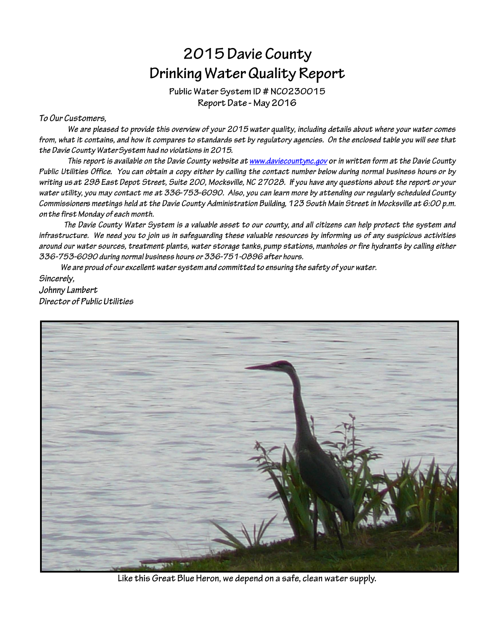# 2015 Davie County Drinking Water Quality Report

Public Water System ID # NCO230015 Report Date - May 2016

#### To Our Customers,

We are pleased to provide this overview of your 2015 water quality, including details about where your water comes from, what it contains, and how it compares to standards set by regulatory agencies. On the enclosed table you will see that the Davie County Water System had no violations in 2015.

This report is available on the Davie County website at www.daviecountync.gov or in written form at the Davie County Public Utilities Office. You can obtain a copy either by calling the contact number below during normal business hours or by writing us at 298 East Depot Street, Suite 200, Mocksville, NC 27028. If you have any questions about the report or your water utility, you may contact me at 336-753-6090. Also, you can learn more by attending our regularly scheduled County Commissioners meetings held at the Davie County Administration Building, 123 South Main Street in Mocksville at 6:00 p.m. on the first Monday of each month.

The Davie County Water System is a valuable asset to our county, and all citizens can help protect the system and infrastructure. We need you to join us in safeguarding these valuable resources by informing us of any suspicious activities around our water sources, treatment plants, water storage tanks, pump stations, manholes or fire hydrants by calling either 336-753-6090 during normal business hours or 336-751-0896 after hours.

We are proud of our excellent water system and committed to ensuring the safety of your water. Sincerely, Johnny Lambert Director of Public Utilities



Like this Great Blue Heron, we depend on a safe, clean water supply.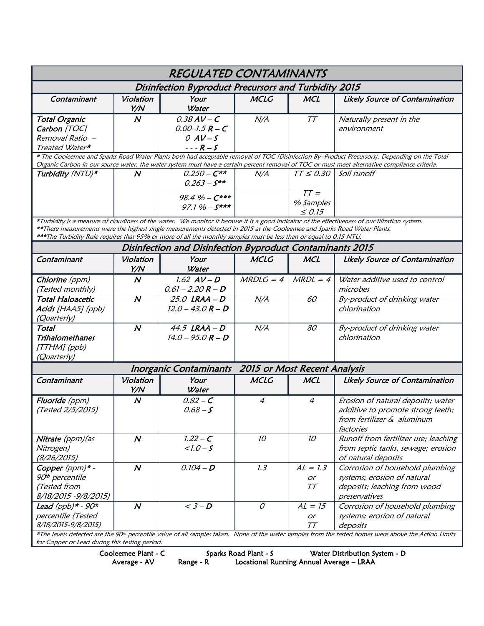| <b>REGULATED CONTAMINANTS</b>                                                                                                                                                                                                                                                                                                                                                                      |                  |                                                                         |                              |                                                      |                                                                                                                    |  |  |  |
|----------------------------------------------------------------------------------------------------------------------------------------------------------------------------------------------------------------------------------------------------------------------------------------------------------------------------------------------------------------------------------------------------|------------------|-------------------------------------------------------------------------|------------------------------|------------------------------------------------------|--------------------------------------------------------------------------------------------------------------------|--|--|--|
| Disinfection Byproduct Precursors and Turbidity 2015                                                                                                                                                                                                                                                                                                                                               |                  |                                                                         |                              |                                                      |                                                                                                                    |  |  |  |
| Contaminant                                                                                                                                                                                                                                                                                                                                                                                        | Violation<br>Y/N | Your<br>Water                                                           | <b>MCLG</b>                  | <b>MCL</b>                                           | <b>Likely Source of Contamination</b>                                                                              |  |  |  |
| <b>Total Organic</b><br>Carbon [TOC]<br>Removal Ratio -<br>Treated Water*                                                                                                                                                                                                                                                                                                                          | $\boldsymbol{N}$ | $0.38$ AV – C<br>$0.00 - 1.5 R - C$<br>$OAV-S$<br>$- - R - S$           | N/A                          | TΤ                                                   | Naturally present in the<br>environment                                                                            |  |  |  |
| * The Cooleemee and Sparks Road Water Plants both had acceptable removal of TOC (Disinfection By-Product Precursors). Depending on the Total<br>Organic Carbon in our source water, the water system must have a certain percent removal of TOC or must meet alternative compliance criteria.                                                                                                      |                  |                                                                         |                              |                                                      |                                                                                                                    |  |  |  |
| Turbidity (NTU)*                                                                                                                                                                                                                                                                                                                                                                                   | $\boldsymbol{N}$ | $0.250 - C**$<br>$0.263 - S^{**}$<br>98.4 % - $C***$<br>97.1 % - $S***$ | N/A                          | $TT \leq 0.30$<br>$TT =$<br>% Samples<br>$\leq 0.15$ | Soil runoff                                                                                                        |  |  |  |
| *Turbidity is a measure of cloudiness of the water. We monitor it because it is a good indicator of the effectiveness of our filtration system.<br>**These measurements were the highest single measurements detected in 2015 at the Cooleemee and Sparks Road Water Plants.<br>***The Turbidity Rule requires that 95% or more of all the monthly samples must be less than or equal to 0.15 NTU. |                  |                                                                         |                              |                                                      |                                                                                                                    |  |  |  |
| Disinfection and Disinfection Byproduct Contaminants 2015                                                                                                                                                                                                                                                                                                                                          |                  |                                                                         |                              |                                                      |                                                                                                                    |  |  |  |
| Contaminant                                                                                                                                                                                                                                                                                                                                                                                        | Violation<br>Y/N | Your<br>Water                                                           | <b>MCLG</b>                  | <b>MCL</b>                                           | <b>Likely Source of Contamination</b>                                                                              |  |  |  |
| Chlorine (ppm)<br>(Tested monthly)                                                                                                                                                                                                                                                                                                                                                                 | $\boldsymbol{N}$ | $1.62$ $AV - D$<br>$0.61 - 2.20 R - D$                                  | $MRDLG = 4$                  | $MRDL = 4$                                           | Water additive used to control<br>microbes                                                                         |  |  |  |
| <b>Total Haloacetic</b><br>Acids [HAA5] (ppb)<br>(Quarterly)                                                                                                                                                                                                                                                                                                                                       | $\boldsymbol{N}$ | 25.0 LRAA-D<br>$12.0 - 43.0 R - D$                                      | N/A                          | 60                                                   | By-product of drinking water<br>chlorination                                                                       |  |  |  |
| Total<br><b>Trihalomethanes</b><br>[TTHM] (ppb)<br>(Quarterly)                                                                                                                                                                                                                                                                                                                                     | $\boldsymbol{N}$ | 44.5 $LRAA - D$<br>$14.0 - 95.0 R - D$                                  | N/A                          | 80                                                   | By-product of drinking water<br>chlorination                                                                       |  |  |  |
|                                                                                                                                                                                                                                                                                                                                                                                                    |                  | <b>Inorganic Contaminants</b>                                           | 2015 or Most Recent Analysis |                                                      |                                                                                                                    |  |  |  |
| Contaminant                                                                                                                                                                                                                                                                                                                                                                                        | Violation<br>Y/N | Your<br>Water                                                           | <b>MCLG</b>                  | <b>MCL</b>                                           | Likely Source of Contamination                                                                                     |  |  |  |
| Fluoride (ppm)<br>(Tested 2/5/2015)                                                                                                                                                                                                                                                                                                                                                                | $\boldsymbol{N}$ | $0.82 - C$<br>$0.68 - S$                                                | $\overline{4}$               | $\overline{4}$                                       | Erosion of natural deposits; water<br>additive to promote strong teeth;<br>from fertilizer & aluminum<br>factories |  |  |  |
| Nitrate (ppm) (as<br>Nitrogen)<br>(8/26/2015)                                                                                                                                                                                                                                                                                                                                                      | $\boldsymbol{N}$ | $1.22 - C$<br>$1.0 - S$                                                 | 10                           | 10 <sup>°</sup>                                      | Runoff from fertilizer use; leaching<br>from septic tanks, sewage; erosion<br>of natural deposits                  |  |  |  |
| Copper (ppm)* -<br>90 <sup>th</sup> percentile<br>(Tested from<br>8/18/2015 - 9/8/2015)                                                                                                                                                                                                                                                                                                            | $\boldsymbol{N}$ | $0.104 - D$                                                             | 1.3                          | $AL = 1.3$<br><i>or</i><br>TT                        | Corrosion of household plumbing<br>systems; erosion of natural<br>deposits; leaching from wood<br>preservatives    |  |  |  |
| Lead $(ppb)*$ - 90 <sup>th</sup><br>percentile (Tested<br>8/18/2015-9/8/2015)                                                                                                                                                                                                                                                                                                                      | $\boldsymbol{N}$ | $<$ 3 – D                                                               | $\mathcal{O}$                | $AL = 15$<br>or<br>TΤ                                | Corrosion of household plumbing<br>systems; erosion of natural<br>deposits                                         |  |  |  |
| *The levels detected are the 90 <sup>th</sup> percentile value of all samples taken. None of the water samples from the tested homes were above the Action Limits<br>for Copper or Lead during this testing period.                                                                                                                                                                                |                  |                                                                         |                              |                                                      |                                                                                                                    |  |  |  |

Cooleemee Plant - C Sparks Road Plant - S Water Distribution System - D

Average - AV Range - R Locational Running Annual Average – LRAA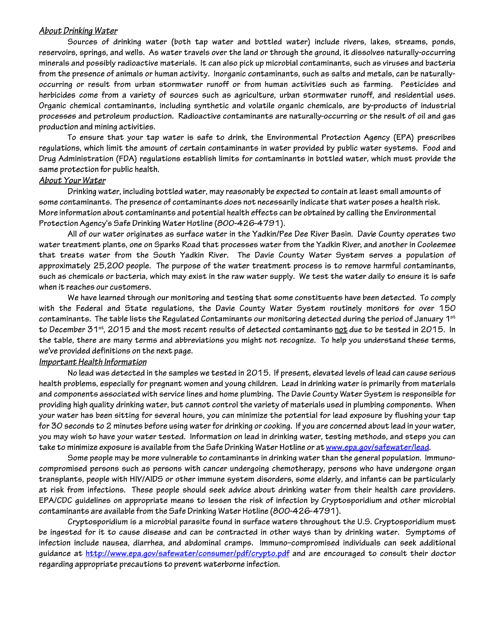#### **About Drinking Water**

Sources of drinking water (both tap water and bottled water) include rivers, lakes, streams, ponds, reservoirs, springs, and wells. As water travels over the land or through the ground, it dissolves naturally-occurring minerals and possibly radioactive materials. It can also pick up microbial contaminants, such as viruses and bacteria from the presence of animals or human activity. Inorganic contaminants, such as salts and metals, can be naturallyoccurring or result from urban stormwater runoff or from human activities such as farming. Pesticides and herbicides come from a variety of sources such as agriculture, urban stormwater runoff, and residential uses. Organic chemical contaminants, including synthetic and volatile organic chemicals, are by-products of industrial processes and petroleum production. Radioactive contaminants are naturally-occurring or the result of oil and gas production and mining activities.

To ensure that your tap water is safe to drink, the Environmental Protection Agency (EPA) prescribes regulations, which limit the amount of certain contaminants in water provided by public water systems. Food and Drug Administration (FDA) regulations establish limits for contaminants in bottled water, which must provide the same protection for public health.

#### <u> About Your Water</u>

Drinking water, including bottled water, may reasonably be expected to contain at least small amounts of some contaminants. The presence of contaminants does not necessarily indicate that water poses a health risk. More information about contaminants and potential health effects can be obtained by calling the Environmental Protection Agency's Safe Drinking Water Hotline (800-426-4791).

All of our water originates as surface water in the Yadkin/Pee Dee River Basin. Davie County operates two water treatment plants, one on Sparks Road that processes water from the Yadkin River, and another in Cooleemee that treats water from the South Yadkin River. The Davie County Water System serves a population of approximately 25,200 people. The purpose of the water treatment process is to remove harmful contaminants, such as chemicals or bacteria, which may exist in the raw water supply. We test the water daily to ensure it is safe when it reaches our customers.

We have learned through our monitoring and testing that some constituents have been detected. To comply with the Federal and State regulations, the Davie County Water System routinely monitors for over 150 contaminants. The table lists the Regulated Contaminants our monitoring detected during the period of January  $1^{st}$ to December 31<sup>st</sup>, 2015 and the most recent results of detected contaminants not due to be tested in 2015. In the table, there are many terms and abbreviations you might not recognize. To help you understand these terms, we've provided definitions on the next page.

#### Important Health Information

No lead was detected in the samples we tested in 2015. If present, elevated levels of lead can cause serious health problems, especially for pregnant women and young children. Lead in drinking water is primarily from materials and components associated with service lines and home plumbing. The Davie County Water System is responsible for providing high quality drinking water, but cannot control the variety of materials used in plumbing components. When your water has been sitting for several hours, you can minimize the potential for lead exposure by flushing your tap for 30 seconds to 2 minutes before using water for drinking or cooking. If you are concerned about lead in your water, you may wish to have your water tested. Information on lead in drinking water, testing methods, and steps you can take to minimize exposure is available from the Safe Drinking Water Hotline or at www.epa.gov/safewater/lead.

Some people may be more vulnerable to contaminants in drinking water than the general population. Immunocompromised persons such as persons with cancer undergoing chemotherapy, persons who have undergone organ transplants, people with HIV/AIDS or other immune system disorders, some elderly, and infants can be particularly at risk from infections. These people should seek advice about drinking water from their health care providers. EPA/CDC guidelines on appropriate means to lessen the risk of infection by Cryptosporidium and other microbial contaminants are available from the Safe Drinking Water Hotline (800-426-4791).

Cryptosporidium is a microbial parasite found in surface waters throughout the U.S. Cryptosporidium must be ingested for it to cause disease and can be contracted in other ways than by drinking water. Symptoms of infection include nausea, diarrhea, and abdominal cramps. Immuno-compromised individuals can seek additional guidance at http://www.epa.gov/safewater/consumer/pdf/crypto.pdf and are encouraged to consult their doctor regarding appropriate precautions to prevent waterborne infection.